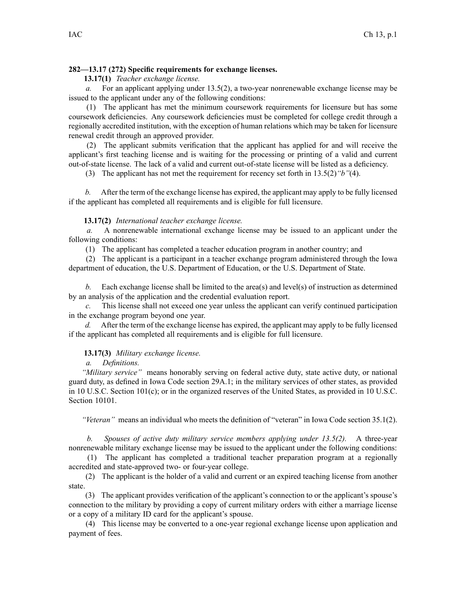## **282—13.17 (272) Specific requirements for exchange licenses.**

**13.17(1)** *Teacher exchange license.*

*a.* For an applicant applying under [13.5\(2\)](https://www.legis.iowa.gov/docs/iac/rule/282.13.5.pdf), <sup>a</sup> two-year nonrenewable exchange license may be issued to the applicant under any of the following conditions:

(1) The applicant has met the minimum coursework requirements for licensure but has some coursework deficiencies. Any coursework deficiencies must be completed for college credit through <sup>a</sup> regionally accredited institution, with the exception of human relations which may be taken for licensure renewal credit through an approved provider.

(2) The applicant submits verification that the applicant has applied for and will receive the applicant's first teaching license and is waiting for the processing or printing of <sup>a</sup> valid and current out-of-state license. The lack of <sup>a</sup> valid and current out-of-state license will be listed as <sup>a</sup> deficiency.

(3) The applicant has not met the requirement for recency set forth in [13.5\(2\)](https://www.legis.iowa.gov/docs/iac/rule/282.13.5.pdf)*"b"*(4).

*b.* After the term of the exchange license has expired, the applicant may apply to be fully licensed if the applicant has completed all requirements and is eligible for full licensure.

## **13.17(2)** *International teacher exchange license.*

*a.* A nonrenewable international exchange license may be issued to an applicant under the following conditions:

(1) The applicant has completed <sup>a</sup> teacher education program in another country; and

(2) The applicant is <sup>a</sup> participant in <sup>a</sup> teacher exchange program administered through the Iowa department of education, the U.S. Department of Education, or the U.S. Department of State.

*b.* Each exchange license shall be limited to the area(s) and level(s) of instruction as determined by an analysis of the application and the credential evaluation report.

*c.* This license shall not exceed one year unless the applicant can verify continued participation in the exchange program beyond one year.

*d.* After the term of the exchange license has expired, the applicant may apply to be fully licensed if the applicant has completed all requirements and is eligible for full licensure.

## **13.17(3)** *Military exchange license.*

*a. Definitions.*

*"Military service"* means honorably serving on federal active duty, state active duty, or national guard duty, as defined in Iowa Code section [29A.1](https://www.legis.iowa.gov/docs/ico/section/2017/29A.1.pdf); in the military services of other states, as provided in 10 U.S.C. Section 101(c); or in the organized reserves of the United States, as provided in 10 U.S.C. Section 10101.

*"Veteran"* means an individual who meets the definition of "veteran" in Iowa Code section [35.1\(2\)](https://www.legis.iowa.gov/docs/ico/section/35.1.pdf).

*b. Spouses of active duty military service members applying under 13.5(2).* A three-year nonrenewable military exchange license may be issued to the applicant under the following conditions:

(1) The applicant has completed <sup>a</sup> traditional teacher preparation program at <sup>a</sup> regionally accredited and state-approved two- or four-year college.

(2) The applicant is the holder of <sup>a</sup> valid and current or an expired teaching license from another state.

(3) The applicant provides verification of the applicant's connection to or the applicant's spouse's connection to the military by providing <sup>a</sup> copy of current military orders with either <sup>a</sup> marriage license or <sup>a</sup> copy of <sup>a</sup> military ID card for the applicant's spouse.

(4) This license may be converted to <sup>a</sup> one-year regional exchange license upon application and paymen<sup>t</sup> of fees.